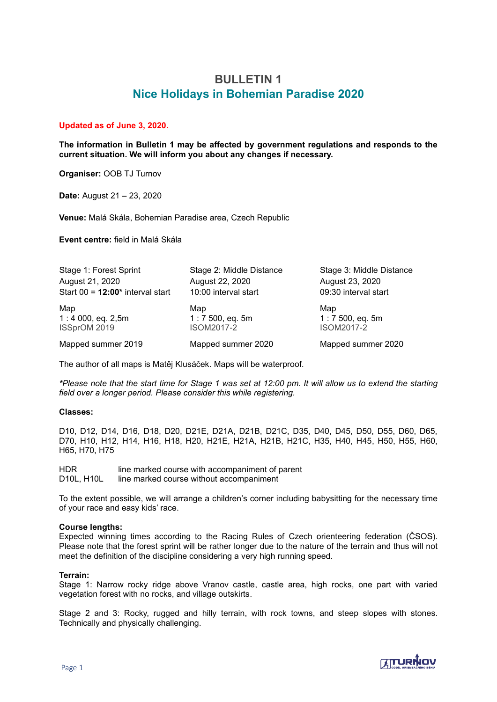# **BULLETIN 1 Nice Holidays in Bohemian Paradise 2020**

# **Updated as of June 3, 2020.**

**The information in Bulletin 1 may be affected by government regulations and responds to the current situation. We will inform you about any changes if necessary.**

**Organiser:** OOB TJ Turnov

**Date:** August 21 – 23, 2020

**Venue:** Malá Skála, Bohemian Paradise area, Czech Republic

**Event centre:** field in Malá Skála

| Stage 1: Forest Sprint                                             | Stage 2: Middle Distance | Stage 3: Middle Distance |  |
|--------------------------------------------------------------------|--------------------------|--------------------------|--|
| August 21, 2020                                                    | August 22, 2020          | August 23, 2020          |  |
| Start $00 = 12:00*$ interval start                                 | 10:00 interval start     | 09:30 interval start     |  |
| Map                                                                | Map                      | Map                      |  |
| $1:4000$ , eq. 2,5m                                                | $1:7500$ , eq. 5m        | $1:7500$ , eq. 5m        |  |
| ISSprOM 2019                                                       | <b>ISOM2017-2</b>        | <b>ISOM2017-2</b>        |  |
| Mapped summer 2019                                                 | Mapped summer 2020       | Mapped summer 2020       |  |
| The author of all maps is Matěj Klusáček. Maps will be waterproof. |                          |                          |  |

*\*Please note that the start time for Stage 1 was set at 12:00 pm. It will allow us to extend the starting field over a longer period. Please consider this while registering.*

## **Classes:**

D10, D12, D14, D16, D18, D20, D21E, D21A, D21B, D21C, D35, D40, D45, D50, D55, D60, D65, D70, H10, H12, H14, H16, H18, H20, H21E, H21A, H21B, H21C, H35, H40, H45, H50, H55, H60, H65, H70, H75

HDR line marked course with accompaniment of parent D10L, H10L line marked course without accompaniment

To the extent possible, we will arrange a children's corner including babysitting for the necessary time of your race and easy kids' race.

## **Course lengths:**

Expected winning times according to the Racing Rules of Czech orienteering federation (ČSOS). Please note that the forest sprint will be rather longer due to the nature of the terrain and thus will not meet the definition of the discipline considering a very high running speed.

## **Terrain:**

Stage 1: Narrow rocky ridge above Vranov castle, castle area, high rocks, one part with varied vegetation forest with no rocks, and village outskirts.

Stage 2 and 3: Rocky, rugged and hilly terrain, with rock towns, and steep slopes with stones. Technically and physically challenging.

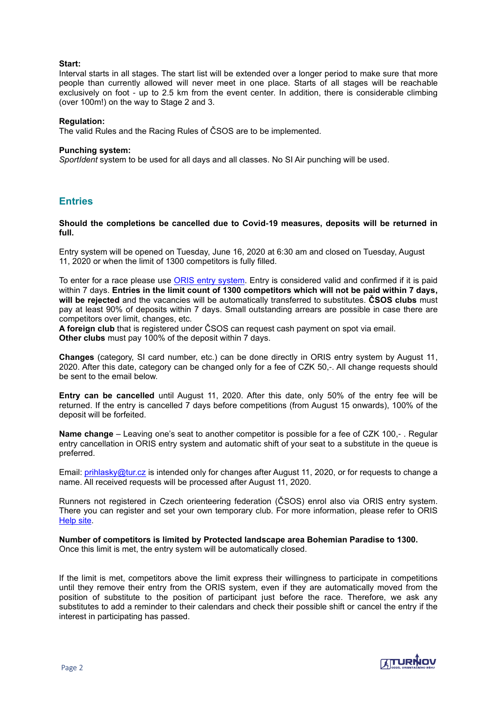# **Start:**

Interval starts in all stages. The start list will be extended over a longer period to make sure that more people than currently allowed will never meet in one place. Starts of all stages will be reachable exclusively on foot - up to 2.5 km from the event center. In addition, there is considerable climbing (over 100m!) on the way to Stage 2 and 3.

#### **Regulation:**

The valid Rules and the Racing Rules of ČSOS are to be implemented.

#### **Punching system:**

*SportIdent* system to be used for all days and all classes. No SI Air punching will be used.

# **Entries**

#### **Should the completions be cancelled due to Covid-19 measures, deposits will be returned in full.**

Entry system will be opened on Tuesday, June 16, 2020 at 6:30 am and closed on Tuesday, August 11, 2020 or when the limit of 1300 competitors is fully filled.

To enter for a race please use [ORIS entry system.](https://oris.orientacnisporty.cz/Zavod?id=4921) Entry is considered valid and confirmed if it is paid within 7 days. **Entries in the limit count of 1300 competitors which will not be paid within 7 days, will be rejected** and the vacancies will be automatically transferred to substitutes. **ČSOS clubs** must pay at least 90% of deposits within 7 days. Small outstanding arrears are possible in case there are competitors over limit, changes, etc.

**A foreign club** that is registered under ČSOS can request cash payment on spot via email. **Other clubs** must pay 100% of the deposit within 7 days.

**Changes** (category, SI card number, etc.) can be done directly in ORIS entry system by August 11, 2020. After this date, category can be changed only for a fee of CZK 50,-. All change requests should be sent to the email below.

**Entry can be cancelled** until August 11, 2020. After this date, only 50% of the entry fee will be returned. If the entry is cancelled 7 days before competitions (from August 15 onwards), 100% of the deposit will be forfeited.

**Name change** – Leaving one's seat to another competitor is possible for a fee of CZK 100,- . Regular entry cancellation in ORIS entry system and automatic shift of your seat to a substitute in the queue is preferred.

Email: [prihlasky@tur.cz](mailto:prihlasky@tur.cz) is intended only for changes after August 11, 2020, or for requests to change a name. All received requests will be processed after August 11, 2020.

Runners not registered in Czech orienteering federation (ČSOS) enrol also via ORIS entry system. There you can register and set your own temporary club. For more information, please refer to ORIS [Help site.](https://oris.orientacnisporty.cz/Napoveda?lang=cz&lang=en)

**Number of competitors is limited by Protected landscape area Bohemian Paradise to 1300.**  Once this limit is met, the entry system will be automatically closed.

If the limit is met, competitors above the limit express their willingness to participate in competitions until they remove their entry from the ORIS system, even if they are automatically moved from the position of substitute to the position of participant just before the race. Therefore, we ask any substitutes to add a reminder to their calendars and check their possible shift or cancel the entry if the interest in participating has passed.

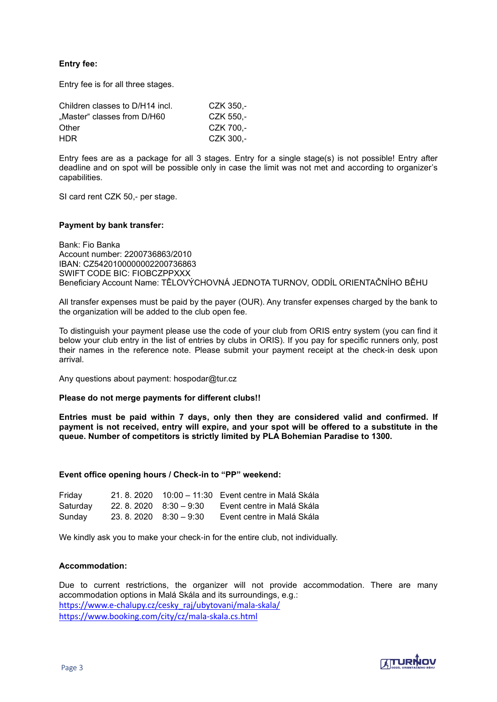# **Entry fee:**

Entry fee is for all three stages.

| Children classes to D/H14 incl. | CZK 350.- |
|---------------------------------|-----------|
| "Master" classes from D/H60     | CZK 550.- |
| Other                           | CZK 700.- |
| HDR.                            | CZK 300.- |

Entry fees are as a package for all 3 stages. Entry for a single stage(s) is not possible! Entry after deadline and on spot will be possible only in case the limit was not met and according to organizer's capabilities.

SI card rent CZK 50,- per stage.

#### **Payment by bank transfer:**

Bank: Fio Banka Account number: 2200736863/2010 IBAN: CZ5420100000002200736863 SWIFT CODE BIC: FIOBCZPPXXX Beneficiary Account Name: TĚLOVÝCHOVNÁ JEDNOTA TURNOV, ODDÍL ORIENTAČNÍHO BĚHU

All transfer expenses must be paid by the payer (OUR). Any transfer expenses charged by the bank to the organization will be added to the club open fee.

To distinguish your payment please use the code of your club from ORIS entry system (you can find it below your club entry in the list of entries by clubs in ORIS). If you pay for specific runners only, post their names in the reference note. Please submit your payment receipt at the check-in desk upon arrival.

Any questions about payment: hospodar@tur.cz

## **Please do not merge payments for different clubs!!**

**Entries must be paid within 7 days, only then they are considered valid and confirmed. If payment is not received, entry will expire, and your spot will be offered to a substitute in the queue. Number of competitors is strictly limited by PLA Bohemian Paradise to 1300.**

#### **Event office opening hours / Check-in to "PP" weekend:**

| Friday   | 21.8.2020               | 10:00 – 11:30 Event centre in Malá Skála |
|----------|-------------------------|------------------------------------------|
| Saturday | $22.8.2020$ $8:30-9:30$ | Event centre in Malá Skála               |
| Sunday   | $23.8.2020$ $8:30-9:30$ | Event centre in Malá Skála               |

We kindly ask you to make your check-in for the entire club, not individually.

## **Accommodation:**

Due to current restrictions, the organizer will not provide accommodation. There are many accommodation options in Malá Skála and its surroundings, e.g.: https://www.e-[chalupy.cz/cesky\\_raj/ubytovani/mala](https://www.e-chalupy.cz/cesky_raj/ubytovani/mala-skala/)-skala/ [https://www.booking.com/city/cz/mala](https://www.booking.com/city/cz/mala-skala.cs.html)-skala.cs.html